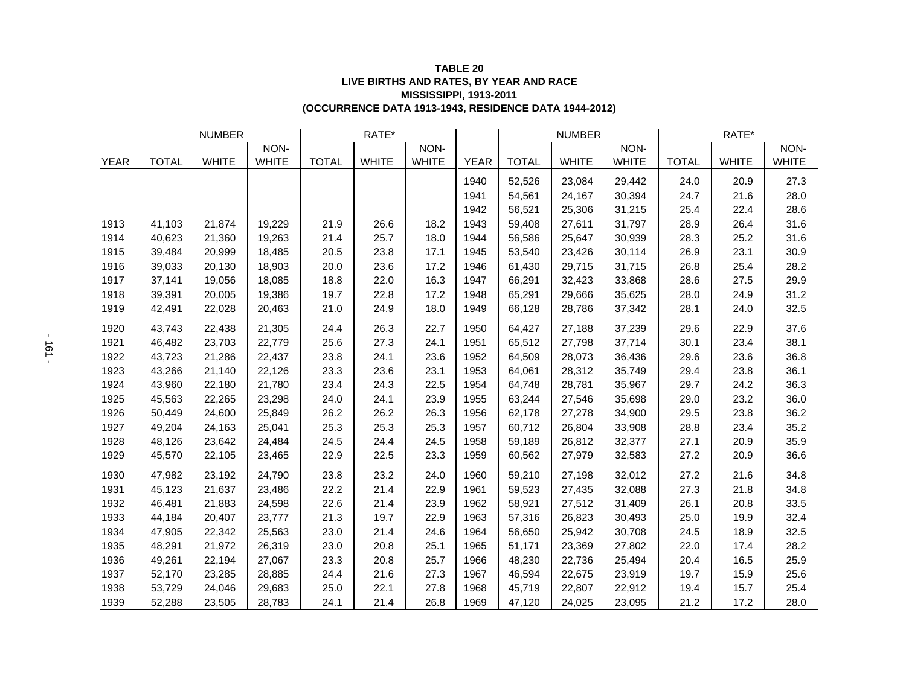| <b>TABLE 20</b>                                       |  |
|-------------------------------------------------------|--|
| LIVE BIRTHS AND RATES, BY YEAR AND RACE               |  |
| <b>MISSISSIPPI, 1913-2011</b>                         |  |
| (OCCURRENCE DATA 1913-1943, RESIDENCE DATA 1944-2012) |  |

|             | <b>NUMBER</b> |              |              | RATE*        |              |              |             | <b>NUMBER</b> |              |              | RATE*        |              |              |
|-------------|---------------|--------------|--------------|--------------|--------------|--------------|-------------|---------------|--------------|--------------|--------------|--------------|--------------|
|             |               |              | NON-         |              |              | NON-         |             |               |              | NON-         |              |              | NON-         |
| <b>YEAR</b> | <b>TOTAL</b>  | <b>WHITE</b> | <b>WHITE</b> | <b>TOTAL</b> | <b>WHITE</b> | <b>WHITE</b> | <b>YEAR</b> | <b>TOTAL</b>  | <b>WHITE</b> | <b>WHITE</b> | <b>TOTAL</b> | <b>WHITE</b> | <b>WHITE</b> |
|             |               |              |              |              |              |              | 1940        | 52,526        | 23,084       | 29,442       | 24.0         | 20.9         | 27.3         |
|             |               |              |              |              |              |              | 1941        | 54,561        | 24,167       | 30,394       | 24.7         | 21.6         | 28.0         |
|             |               |              |              |              |              |              | 1942        | 56,521        | 25,306       | 31,215       | 25.4         | 22.4         | 28.6         |
| 1913        | 41,103        | 21,874       | 19,229       | 21.9         | 26.6         | 18.2         | 1943        | 59,408        | 27,611       | 31,797       | 28.9         | 26.4         | 31.6         |
| 1914        | 40,623        | 21,360       | 19,263       | 21.4         | 25.7         | 18.0         | 1944        | 56,586        | 25,647       | 30,939       | 28.3         | 25.2         | 31.6         |
| 1915        | 39,484        | 20,999       | 18,485       | 20.5         | 23.8         | 17.1         | 1945        | 53,540        | 23,426       | 30,114       | 26.9         | 23.1         | 30.9         |
| 1916        | 39,033        | 20,130       | 18,903       | 20.0         | 23.6         | 17.2         | 1946        | 61,430        | 29,715       | 31,715       | 26.8         | 25.4         | 28.2         |
| 1917        | 37,141        | 19,056       | 18,085       | 18.8         | 22.0         | 16.3         | 1947        | 66,291        | 32,423       | 33,868       | 28.6         | 27.5         | 29.9         |
| 1918        | 39,391        | 20,005       | 19,386       | 19.7         | 22.8         | 17.2         | 1948        | 65,291        | 29,666       | 35,625       | 28.0         | 24.9         | 31.2         |
| 1919        | 42,491        | 22,028       | 20,463       | 21.0         | 24.9         | 18.0         | 1949        | 66,128        | 28,786       | 37,342       | 28.1         | 24.0         | 32.5         |
| 1920        | 43,743        | 22,438       | 21,305       | 24.4         | 26.3         | 22.7         | 1950        | 64,427        | 27,188       | 37,239       | 29.6         | 22.9         | 37.6         |
| 1921        | 46,482        | 23,703       | 22,779       | 25.6         | 27.3         | 24.1         | 1951        | 65,512        | 27,798       | 37,714       | 30.1         | 23.4         | 38.1         |
| 1922        | 43,723        | 21,286       | 22,437       | 23.8         | 24.1         | 23.6         | 1952        | 64,509        | 28,073       | 36,436       | 29.6         | 23.6         | 36.8         |
| 1923        | 43,266        | 21,140       | 22,126       | 23.3         | 23.6         | 23.1         | 1953        | 64,061        | 28,312       | 35,749       | 29.4         | 23.8         | 36.1         |
| 1924        | 43,960        | 22,180       | 21,780       | 23.4         | 24.3         | 22.5         | 1954        | 64,748        | 28,781       | 35,967       | 29.7         | 24.2         | 36.3         |
| 1925        | 45,563        | 22,265       | 23,298       | 24.0         | 24.1         | 23.9         | 1955        | 63,244        | 27,546       | 35,698       | 29.0         | 23.2         | 36.0         |
| 1926        | 50,449        | 24,600       | 25,849       | 26.2         | 26.2         | 26.3         | 1956        | 62,178        | 27,278       | 34,900       | 29.5         | 23.8         | 36.2         |
| 1927        | 49,204        | 24,163       | 25,041       | 25.3         | 25.3         | 25.3         | 1957        | 60.712        | 26,804       | 33,908       | 28.8         | 23.4         | 35.2         |
| 1928        | 48,126        | 23,642       | 24,484       | 24.5         | 24.4         | 24.5         | 1958        | 59,189        | 26,812       | 32,377       | 27.1         | 20.9         | 35.9         |
| 1929        | 45,570        | 22,105       | 23,465       | 22.9         | 22.5         | 23.3         | 1959        | 60,562        | 27,979       | 32,583       | 27.2         | 20.9         | 36.6         |
| 1930        | 47,982        | 23,192       | 24,790       | 23.8         | 23.2         | 24.0         | 1960        | 59,210        | 27,198       | 32,012       | 27.2         | 21.6         | 34.8         |
| 1931        | 45,123        | 21,637       | 23,486       | 22.2         | 21.4         | 22.9         | 1961        | 59,523        | 27,435       | 32,088       | 27.3         | 21.8         | 34.8         |
| 1932        | 46,481        | 21,883       | 24,598       | 22.6         | 21.4         | 23.9         | 1962        | 58,921        | 27,512       | 31,409       | 26.1         | 20.8         | 33.5         |
| 1933        | 44.184        | 20,407       | 23,777       | 21.3         | 19.7         | 22.9         | 1963        | 57,316        | 26,823       | 30,493       | 25.0         | 19.9         | 32.4         |
| 1934        | 47,905        | 22,342       | 25,563       | 23.0         | 21.4         | 24.6         | 1964        | 56,650        | 25,942       | 30,708       | 24.5         | 18.9         | 32.5         |
| 1935        | 48,291        | 21,972       | 26,319       | 23.0         | 20.8         | 25.1         | 1965        | 51,171        | 23,369       | 27,802       | 22.0         | 17.4         | 28.2         |
| 1936        | 49,261        | 22,194       | 27,067       | 23.3         | 20.8         | 25.7         | 1966        | 48,230        | 22,736       | 25,494       | 20.4         | 16.5         | 25.9         |
| 1937        | 52,170        | 23,285       | 28,885       | 24.4         | 21.6         | 27.3         | 1967        | 46,594        | 22,675       | 23,919       | 19.7         | 15.9         | 25.6         |
| 1938        | 53,729        | 24,046       | 29,683       | 25.0         | 22.1         | 27.8         | 1968        | 45,719        | 22,807       | 22,912       | 19.4         | 15.7         | 25.4         |
| 1939        | 52,288        | 23,505       | 28,783       | 24.1         | 21.4         | 26.8         | 1969        | 47,120        | 24,025       | 23,095       | 21.2         | 17.2         | 28.0         |